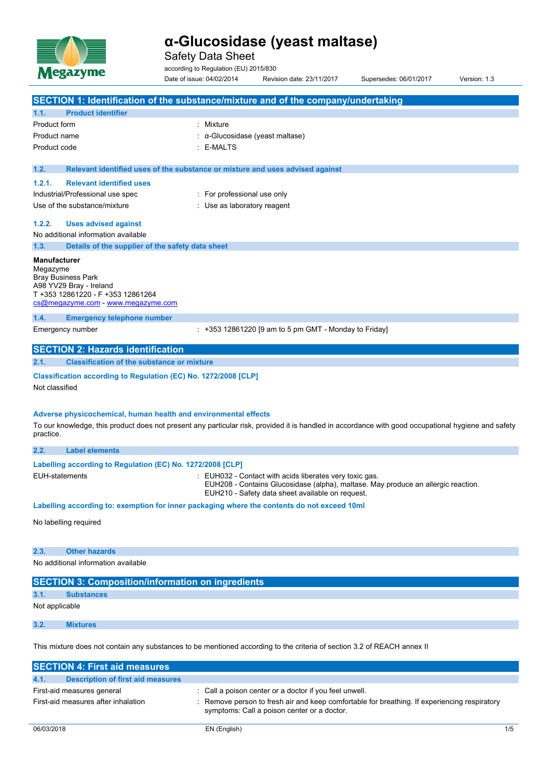

Safety Data Sheet

according to Regulation (EU) 2015/830

Date of issue: 04/02/2014 Revision date: 23/11/2017 Supersedes: 06/01/2017 Version: 1.3

|                                                                                                                                                                    | SECTION 1: Identification of the substance/mixture and of the company/undertaking                                                                                                                |
|--------------------------------------------------------------------------------------------------------------------------------------------------------------------|--------------------------------------------------------------------------------------------------------------------------------------------------------------------------------------------------|
| <b>Product identifier</b><br>1.1.                                                                                                                                  |                                                                                                                                                                                                  |
| <b>Product form</b>                                                                                                                                                | : Mixture                                                                                                                                                                                        |
| Product name                                                                                                                                                       | : α-Glucosidase (yeast maltase)                                                                                                                                                                  |
| Product code                                                                                                                                                       | : E-MALTS                                                                                                                                                                                        |
|                                                                                                                                                                    |                                                                                                                                                                                                  |
| 1.2.                                                                                                                                                               | Relevant identified uses of the substance or mixture and uses advised against                                                                                                                    |
| <b>Relevant identified uses</b><br>1.2.1.                                                                                                                          |                                                                                                                                                                                                  |
| Industrial/Professional use spec                                                                                                                                   | : For professional use only                                                                                                                                                                      |
| Use of the substance/mixture                                                                                                                                       | : Use as laboratory reagent                                                                                                                                                                      |
| 1.2.2.<br><b>Uses advised against</b>                                                                                                                              |                                                                                                                                                                                                  |
| No additional information available                                                                                                                                |                                                                                                                                                                                                  |
| Details of the supplier of the safety data sheet<br>1.3.                                                                                                           |                                                                                                                                                                                                  |
| <b>Manufacturer</b><br>Megazyme<br><b>Bray Business Park</b><br>A98 YV29 Bray - Ireland<br>T +353 12861220 - F +353 12861264<br>cs@megazyme.com - www.megazyme.com |                                                                                                                                                                                                  |
| 1.4.<br><b>Emergency telephone number</b>                                                                                                                          |                                                                                                                                                                                                  |
| Emergency number                                                                                                                                                   | $: +353$ 12861220 [9 am to 5 pm GMT - Monday to Friday]                                                                                                                                          |
| <b>SECTION 2: Hazards identification</b>                                                                                                                           |                                                                                                                                                                                                  |
| <b>Classification of the substance or mixture</b><br>2.1.                                                                                                          |                                                                                                                                                                                                  |
| Classification according to Regulation (EC) No. 1272/2008 [CLP]<br>Not classified                                                                                  |                                                                                                                                                                                                  |
| Adverse physicochemical, human health and environmental effects<br>practice.                                                                                       | To our knowledge, this product does not present any particular risk, provided it is handled in accordance with good occupational hygiene and safety                                              |
| 2.2.<br><b>Label elements</b>                                                                                                                                      |                                                                                                                                                                                                  |
| Labelling according to Regulation (EC) No. 1272/2008 [CLP]<br><b>EUH-statements</b>                                                                                | : EUH032 - Contact with acids liberates very toxic gas.<br>EUH208 - Contains Glucosidase (alpha), maltase. May produce an allergic reaction.<br>EUH210 - Safety data sheet available on request. |
|                                                                                                                                                                    | Labelling according to: exemption for inner packaging where the contents do not exceed 10ml                                                                                                      |
| No labelling required                                                                                                                                              |                                                                                                                                                                                                  |
| 2.3.<br><b>Other hazards</b>                                                                                                                                       |                                                                                                                                                                                                  |
| No additional information available                                                                                                                                |                                                                                                                                                                                                  |
| <b>SECTION 3: Composition/information on ingredients</b>                                                                                                           |                                                                                                                                                                                                  |
| 3.1.<br><b>Substances</b>                                                                                                                                          |                                                                                                                                                                                                  |
| Not applicable                                                                                                                                                     |                                                                                                                                                                                                  |
|                                                                                                                                                                    |                                                                                                                                                                                                  |
| 3.2.<br><b>Mixtures</b>                                                                                                                                            |                                                                                                                                                                                                  |
|                                                                                                                                                                    | This mixture does not contain any substances to be mentioned according to the criteria of section 3.2 of REACH annex II                                                                          |
| <b>SECTION 4: First aid measures</b>                                                                                                                               |                                                                                                                                                                                                  |

| 4.1. | Description of first aid measures   |                                                                                                                                             |
|------|-------------------------------------|---------------------------------------------------------------------------------------------------------------------------------------------|
|      | First-aid measures general          | : Call a poison center or a doctor if you feel unwell.                                                                                      |
|      | First-aid measures after inhalation | : Remove person to fresh air and keep comfortable for breathing. If experiencing respiratory<br>symptoms: Call a poison center or a doctor. |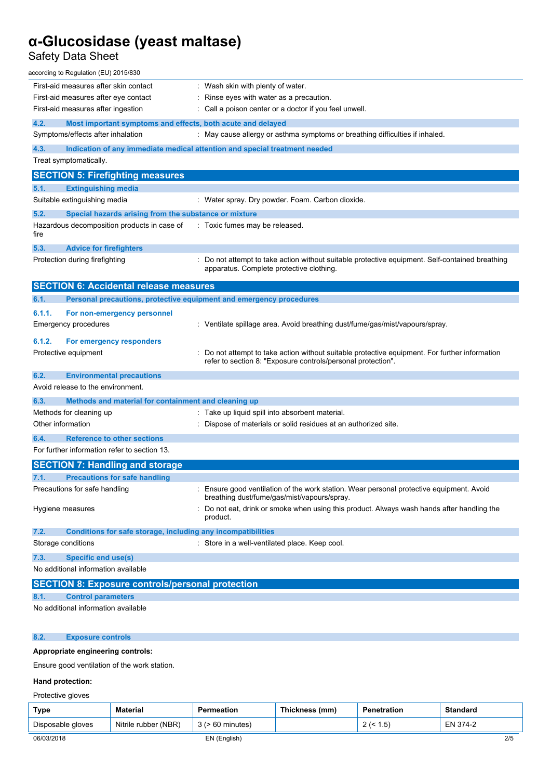## Safety Data Sheet

| First-aid measures after skin contact<br>: Wash skin with plenty of water.<br>First-aid measures after eye contact<br>: Rinse eyes with water as a precaution.<br>: Call a poison center or a doctor if you feel unwell.<br>First-aid measures after ingestion<br>4.2.<br>Most important symptoms and effects, both acute and delayed<br>Symptoms/effects after inhalation<br>: May cause allergy or asthma symptoms or breathing difficulties if inhaled.<br>4.3.<br>Indication of any immediate medical attention and special treatment needed<br>Treat symptomatically.<br><b>SECTION 5: Firefighting measures</b><br>5.1.<br><b>Extinguishing media</b><br>Suitable extinguishing media<br>: Water spray. Dry powder. Foam. Carbon dioxide.<br>5.2.<br>Special hazards arising from the substance or mixture<br>Hazardous decomposition products in case of<br>: Toxic fumes may be released.<br>fire<br>5.3.<br><b>Advice for firefighters</b><br>: Do not attempt to take action without suitable protective equipment. Self-contained breathing<br>Protection during firefighting<br>apparatus. Complete protective clothing.<br><b>SECTION 6: Accidental release measures</b><br>6.1.<br>Personal precautions, protective equipment and emergency procedures<br>6.1.1.<br>For non-emergency personnel<br><b>Emergency procedures</b><br>: Ventilate spillage area. Avoid breathing dust/fume/gas/mist/vapours/spray.<br>6.1.2.<br>For emergency responders<br>Do not attempt to take action without suitable protective equipment. For further information<br>Protective equipment<br>refer to section 8: "Exposure controls/personal protection".<br>6.2.<br><b>Environmental precautions</b><br>Avoid release to the environment.<br>6.3.<br>Methods and material for containment and cleaning up<br>: Take up liquid spill into absorbent material.<br>Methods for cleaning up<br>Other information<br>: Dispose of materials or solid residues at an authorized site.<br>6.4.<br><b>Reference to other sections</b> |
|---------------------------------------------------------------------------------------------------------------------------------------------------------------------------------------------------------------------------------------------------------------------------------------------------------------------------------------------------------------------------------------------------------------------------------------------------------------------------------------------------------------------------------------------------------------------------------------------------------------------------------------------------------------------------------------------------------------------------------------------------------------------------------------------------------------------------------------------------------------------------------------------------------------------------------------------------------------------------------------------------------------------------------------------------------------------------------------------------------------------------------------------------------------------------------------------------------------------------------------------------------------------------------------------------------------------------------------------------------------------------------------------------------------------------------------------------------------------------------------------------------------------------------------------------------------------------------------------------------------------------------------------------------------------------------------------------------------------------------------------------------------------------------------------------------------------------------------------------------------------------------------------------------------------------------------------------------------------------------------------------------------------------------|
|                                                                                                                                                                                                                                                                                                                                                                                                                                                                                                                                                                                                                                                                                                                                                                                                                                                                                                                                                                                                                                                                                                                                                                                                                                                                                                                                                                                                                                                                                                                                                                                                                                                                                                                                                                                                                                                                                                                                                                                                                                 |
|                                                                                                                                                                                                                                                                                                                                                                                                                                                                                                                                                                                                                                                                                                                                                                                                                                                                                                                                                                                                                                                                                                                                                                                                                                                                                                                                                                                                                                                                                                                                                                                                                                                                                                                                                                                                                                                                                                                                                                                                                                 |
|                                                                                                                                                                                                                                                                                                                                                                                                                                                                                                                                                                                                                                                                                                                                                                                                                                                                                                                                                                                                                                                                                                                                                                                                                                                                                                                                                                                                                                                                                                                                                                                                                                                                                                                                                                                                                                                                                                                                                                                                                                 |
|                                                                                                                                                                                                                                                                                                                                                                                                                                                                                                                                                                                                                                                                                                                                                                                                                                                                                                                                                                                                                                                                                                                                                                                                                                                                                                                                                                                                                                                                                                                                                                                                                                                                                                                                                                                                                                                                                                                                                                                                                                 |
|                                                                                                                                                                                                                                                                                                                                                                                                                                                                                                                                                                                                                                                                                                                                                                                                                                                                                                                                                                                                                                                                                                                                                                                                                                                                                                                                                                                                                                                                                                                                                                                                                                                                                                                                                                                                                                                                                                                                                                                                                                 |
|                                                                                                                                                                                                                                                                                                                                                                                                                                                                                                                                                                                                                                                                                                                                                                                                                                                                                                                                                                                                                                                                                                                                                                                                                                                                                                                                                                                                                                                                                                                                                                                                                                                                                                                                                                                                                                                                                                                                                                                                                                 |
|                                                                                                                                                                                                                                                                                                                                                                                                                                                                                                                                                                                                                                                                                                                                                                                                                                                                                                                                                                                                                                                                                                                                                                                                                                                                                                                                                                                                                                                                                                                                                                                                                                                                                                                                                                                                                                                                                                                                                                                                                                 |
|                                                                                                                                                                                                                                                                                                                                                                                                                                                                                                                                                                                                                                                                                                                                                                                                                                                                                                                                                                                                                                                                                                                                                                                                                                                                                                                                                                                                                                                                                                                                                                                                                                                                                                                                                                                                                                                                                                                                                                                                                                 |
|                                                                                                                                                                                                                                                                                                                                                                                                                                                                                                                                                                                                                                                                                                                                                                                                                                                                                                                                                                                                                                                                                                                                                                                                                                                                                                                                                                                                                                                                                                                                                                                                                                                                                                                                                                                                                                                                                                                                                                                                                                 |
|                                                                                                                                                                                                                                                                                                                                                                                                                                                                                                                                                                                                                                                                                                                                                                                                                                                                                                                                                                                                                                                                                                                                                                                                                                                                                                                                                                                                                                                                                                                                                                                                                                                                                                                                                                                                                                                                                                                                                                                                                                 |
|                                                                                                                                                                                                                                                                                                                                                                                                                                                                                                                                                                                                                                                                                                                                                                                                                                                                                                                                                                                                                                                                                                                                                                                                                                                                                                                                                                                                                                                                                                                                                                                                                                                                                                                                                                                                                                                                                                                                                                                                                                 |
|                                                                                                                                                                                                                                                                                                                                                                                                                                                                                                                                                                                                                                                                                                                                                                                                                                                                                                                                                                                                                                                                                                                                                                                                                                                                                                                                                                                                                                                                                                                                                                                                                                                                                                                                                                                                                                                                                                                                                                                                                                 |
|                                                                                                                                                                                                                                                                                                                                                                                                                                                                                                                                                                                                                                                                                                                                                                                                                                                                                                                                                                                                                                                                                                                                                                                                                                                                                                                                                                                                                                                                                                                                                                                                                                                                                                                                                                                                                                                                                                                                                                                                                                 |
|                                                                                                                                                                                                                                                                                                                                                                                                                                                                                                                                                                                                                                                                                                                                                                                                                                                                                                                                                                                                                                                                                                                                                                                                                                                                                                                                                                                                                                                                                                                                                                                                                                                                                                                                                                                                                                                                                                                                                                                                                                 |
|                                                                                                                                                                                                                                                                                                                                                                                                                                                                                                                                                                                                                                                                                                                                                                                                                                                                                                                                                                                                                                                                                                                                                                                                                                                                                                                                                                                                                                                                                                                                                                                                                                                                                                                                                                                                                                                                                                                                                                                                                                 |
|                                                                                                                                                                                                                                                                                                                                                                                                                                                                                                                                                                                                                                                                                                                                                                                                                                                                                                                                                                                                                                                                                                                                                                                                                                                                                                                                                                                                                                                                                                                                                                                                                                                                                                                                                                                                                                                                                                                                                                                                                                 |
|                                                                                                                                                                                                                                                                                                                                                                                                                                                                                                                                                                                                                                                                                                                                                                                                                                                                                                                                                                                                                                                                                                                                                                                                                                                                                                                                                                                                                                                                                                                                                                                                                                                                                                                                                                                                                                                                                                                                                                                                                                 |
|                                                                                                                                                                                                                                                                                                                                                                                                                                                                                                                                                                                                                                                                                                                                                                                                                                                                                                                                                                                                                                                                                                                                                                                                                                                                                                                                                                                                                                                                                                                                                                                                                                                                                                                                                                                                                                                                                                                                                                                                                                 |
|                                                                                                                                                                                                                                                                                                                                                                                                                                                                                                                                                                                                                                                                                                                                                                                                                                                                                                                                                                                                                                                                                                                                                                                                                                                                                                                                                                                                                                                                                                                                                                                                                                                                                                                                                                                                                                                                                                                                                                                                                                 |
|                                                                                                                                                                                                                                                                                                                                                                                                                                                                                                                                                                                                                                                                                                                                                                                                                                                                                                                                                                                                                                                                                                                                                                                                                                                                                                                                                                                                                                                                                                                                                                                                                                                                                                                                                                                                                                                                                                                                                                                                                                 |
|                                                                                                                                                                                                                                                                                                                                                                                                                                                                                                                                                                                                                                                                                                                                                                                                                                                                                                                                                                                                                                                                                                                                                                                                                                                                                                                                                                                                                                                                                                                                                                                                                                                                                                                                                                                                                                                                                                                                                                                                                                 |
|                                                                                                                                                                                                                                                                                                                                                                                                                                                                                                                                                                                                                                                                                                                                                                                                                                                                                                                                                                                                                                                                                                                                                                                                                                                                                                                                                                                                                                                                                                                                                                                                                                                                                                                                                                                                                                                                                                                                                                                                                                 |
|                                                                                                                                                                                                                                                                                                                                                                                                                                                                                                                                                                                                                                                                                                                                                                                                                                                                                                                                                                                                                                                                                                                                                                                                                                                                                                                                                                                                                                                                                                                                                                                                                                                                                                                                                                                                                                                                                                                                                                                                                                 |
|                                                                                                                                                                                                                                                                                                                                                                                                                                                                                                                                                                                                                                                                                                                                                                                                                                                                                                                                                                                                                                                                                                                                                                                                                                                                                                                                                                                                                                                                                                                                                                                                                                                                                                                                                                                                                                                                                                                                                                                                                                 |
|                                                                                                                                                                                                                                                                                                                                                                                                                                                                                                                                                                                                                                                                                                                                                                                                                                                                                                                                                                                                                                                                                                                                                                                                                                                                                                                                                                                                                                                                                                                                                                                                                                                                                                                                                                                                                                                                                                                                                                                                                                 |
|                                                                                                                                                                                                                                                                                                                                                                                                                                                                                                                                                                                                                                                                                                                                                                                                                                                                                                                                                                                                                                                                                                                                                                                                                                                                                                                                                                                                                                                                                                                                                                                                                                                                                                                                                                                                                                                                                                                                                                                                                                 |
| For further information refer to section 13.                                                                                                                                                                                                                                                                                                                                                                                                                                                                                                                                                                                                                                                                                                                                                                                                                                                                                                                                                                                                                                                                                                                                                                                                                                                                                                                                                                                                                                                                                                                                                                                                                                                                                                                                                                                                                                                                                                                                                                                    |
| <b>SECTION 7: Handling and storage</b>                                                                                                                                                                                                                                                                                                                                                                                                                                                                                                                                                                                                                                                                                                                                                                                                                                                                                                                                                                                                                                                                                                                                                                                                                                                                                                                                                                                                                                                                                                                                                                                                                                                                                                                                                                                                                                                                                                                                                                                          |
| 7.1.<br><b>Precautions for safe handling</b>                                                                                                                                                                                                                                                                                                                                                                                                                                                                                                                                                                                                                                                                                                                                                                                                                                                                                                                                                                                                                                                                                                                                                                                                                                                                                                                                                                                                                                                                                                                                                                                                                                                                                                                                                                                                                                                                                                                                                                                    |
| Precautions for safe handling<br>: Ensure good ventilation of the work station. Wear personal protective equipment. Avoid<br>breathing dust/fume/gas/mist/vapours/spray.                                                                                                                                                                                                                                                                                                                                                                                                                                                                                                                                                                                                                                                                                                                                                                                                                                                                                                                                                                                                                                                                                                                                                                                                                                                                                                                                                                                                                                                                                                                                                                                                                                                                                                                                                                                                                                                        |
| : Do not eat, drink or smoke when using this product. Always wash hands after handling the<br>Hygiene measures<br>product.                                                                                                                                                                                                                                                                                                                                                                                                                                                                                                                                                                                                                                                                                                                                                                                                                                                                                                                                                                                                                                                                                                                                                                                                                                                                                                                                                                                                                                                                                                                                                                                                                                                                                                                                                                                                                                                                                                      |
|                                                                                                                                                                                                                                                                                                                                                                                                                                                                                                                                                                                                                                                                                                                                                                                                                                                                                                                                                                                                                                                                                                                                                                                                                                                                                                                                                                                                                                                                                                                                                                                                                                                                                                                                                                                                                                                                                                                                                                                                                                 |
| 7.2.<br><b>Conditions for safe storage, including any incompatibilities</b>                                                                                                                                                                                                                                                                                                                                                                                                                                                                                                                                                                                                                                                                                                                                                                                                                                                                                                                                                                                                                                                                                                                                                                                                                                                                                                                                                                                                                                                                                                                                                                                                                                                                                                                                                                                                                                                                                                                                                     |
| : Store in a well-ventilated place. Keep cool.<br>Storage conditions                                                                                                                                                                                                                                                                                                                                                                                                                                                                                                                                                                                                                                                                                                                                                                                                                                                                                                                                                                                                                                                                                                                                                                                                                                                                                                                                                                                                                                                                                                                                                                                                                                                                                                                                                                                                                                                                                                                                                            |
| 7.3.<br><b>Specific end use(s)</b>                                                                                                                                                                                                                                                                                                                                                                                                                                                                                                                                                                                                                                                                                                                                                                                                                                                                                                                                                                                                                                                                                                                                                                                                                                                                                                                                                                                                                                                                                                                                                                                                                                                                                                                                                                                                                                                                                                                                                                                              |
| No additional information available                                                                                                                                                                                                                                                                                                                                                                                                                                                                                                                                                                                                                                                                                                                                                                                                                                                                                                                                                                                                                                                                                                                                                                                                                                                                                                                                                                                                                                                                                                                                                                                                                                                                                                                                                                                                                                                                                                                                                                                             |
| <b>SECTION 8: Exposure controls/personal protection</b>                                                                                                                                                                                                                                                                                                                                                                                                                                                                                                                                                                                                                                                                                                                                                                                                                                                                                                                                                                                                                                                                                                                                                                                                                                                                                                                                                                                                                                                                                                                                                                                                                                                                                                                                                                                                                                                                                                                                                                         |
| 8.1.<br><b>Control parameters</b>                                                                                                                                                                                                                                                                                                                                                                                                                                                                                                                                                                                                                                                                                                                                                                                                                                                                                                                                                                                                                                                                                                                                                                                                                                                                                                                                                                                                                                                                                                                                                                                                                                                                                                                                                                                                                                                                                                                                                                                               |

## **8.2. Exposure controls**

## **Appropriate engineering controls:**

Ensure good ventilation of the work station.

## **Hand protection:**

| Protective gloves |  |
|-------------------|--|

| Type              | <b>Material</b>      | <b>Permeation</b>     | Thickness (mm) | Penetration | <b>Standard</b> |     |
|-------------------|----------------------|-----------------------|----------------|-------------|-----------------|-----|
| Disposable gloves | Nitrile rubber (NBR) | $3$ ( $> 60$ minutes) |                | 2 (< 1.5)   | EN 374-2        |     |
| 06/03/2018        |                      | EN (English)          |                |             |                 | 2/5 |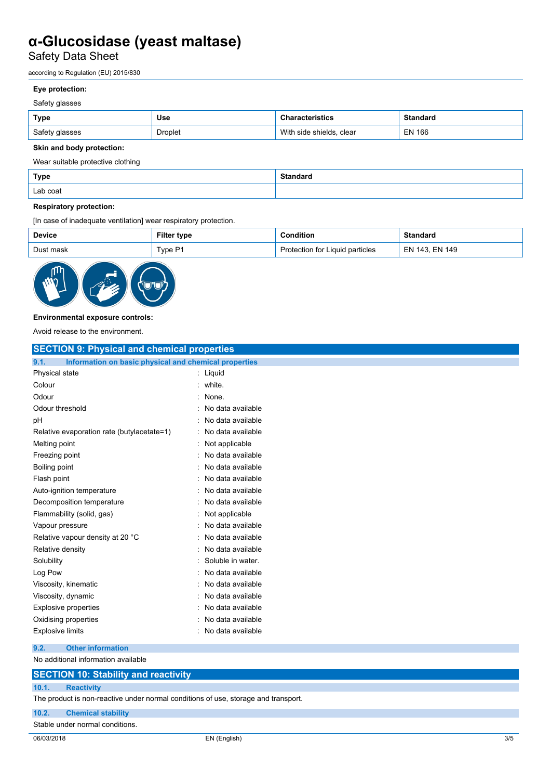Safety Data Sheet

according to Regulation (EU) 2015/830

## **Eye protection:**

## Safety glasses

| Type           | <b>Use</b> | <b>Characteristics</b>        | <b>Standard</b> |
|----------------|------------|-------------------------------|-----------------|
| Safety glasses | Droplet    | With<br>n side shields. clear | EN 166          |

## **Skin and body protection:**

Wear suitable protective clothing

| Type     | $^{\circ}$ Standa $\ldots$<br>. |
|----------|---------------------------------|
| Lab coat |                                 |

## **Respiratory protection:**

[In case of inadequate ventilation] wear respiratory protection.

| <b>Device</b> | <b>Filter type</b> | <b>Condition</b>                | <b>Standard</b> |
|---------------|--------------------|---------------------------------|-----------------|
| Dust mask     | Type P1            | Protection for Liquid particles | EN 143, EN 149  |



### **Environmental exposure controls:**

Avoid release to the environment.

| <b>SECTION 9: Physical and chemical properties</b>            |                   |
|---------------------------------------------------------------|-------------------|
| Information on basic physical and chemical properties<br>9.1. |                   |
| Physical state                                                | $:$ Liquid        |
| Colour                                                        | white.            |
| Odour                                                         | None.             |
| Odour threshold                                               | No data available |
| рH                                                            | No data available |
| Relative evaporation rate (butylacetate=1)                    | No data available |
| Melting point                                                 | Not applicable    |
| Freezing point                                                | No data available |
| Boiling point                                                 | No data available |
| Flash point                                                   | No data available |
| Auto-ignition temperature                                     | No data available |
| Decomposition temperature                                     | No data available |
| Flammability (solid, gas)                                     | Not applicable    |
| Vapour pressure                                               | No data available |
| Relative vapour density at 20 °C                              | No data available |
| Relative density                                              | No data available |
| Solubility                                                    | Soluble in water. |
| Log Pow                                                       | No data available |
| Viscosity, kinematic                                          | No data available |
| Viscosity, dynamic                                            | No data available |
| <b>Explosive properties</b>                                   | No data available |
| Oxidising properties                                          | No data available |
| <b>Explosive limits</b>                                       | No data available |
| <b>Other information</b><br>9.2.                              |                   |
| No additional information available                           |                   |

## **SECTION 10: Stability and reactivity**

**10.1. Reactivity**

The product is non-reactive under normal conditions of use, storage and transport.

**10.2. Chemical stability**

Stable under normal conditions.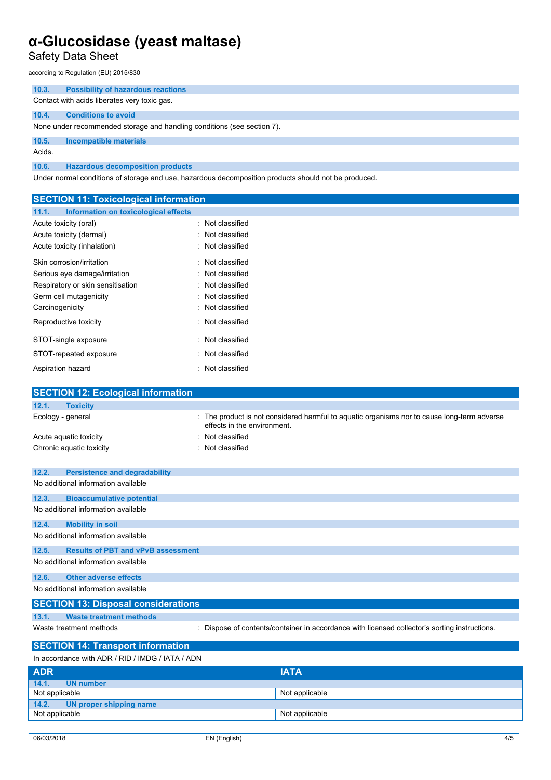Safety Data Sheet

according to Regulation (EU) 2015/830

| 10.3.  | <b>Possibility of hazardous reactions</b>                               |
|--------|-------------------------------------------------------------------------|
|        | Contact with acids liberates very toxic gas.                            |
| 10.4.  | <b>Conditions to avoid</b>                                              |
|        | None under recommended storage and handling conditions (see section 7). |
| 10.5.  | Incompatible materials                                                  |
| Acids. |                                                                         |
| 10.6.  | <b>Hazardous decomposition products</b>                                 |

Under normal conditions of storage and use, hazardous decomposition products should not be produced.

| <b>SECTION 11: Toxicological information</b>         |                                                                                               |
|------------------------------------------------------|-----------------------------------------------------------------------------------------------|
| <b>Information on toxicological effects</b><br>11.1. |                                                                                               |
| Acute toxicity (oral)                                | Not classified                                                                                |
| Acute toxicity (dermal)                              | Not classified                                                                                |
| Acute toxicity (inhalation)                          | Not classified                                                                                |
| Skin corrosion/irritation                            | Not classified                                                                                |
| Serious eye damage/irritation                        | Not classified                                                                                |
| Respiratory or skin sensitisation                    | Not classified                                                                                |
| Germ cell mutagenicity                               | Not classified                                                                                |
| Carcinogenicity                                      | Not classified                                                                                |
| Reproductive toxicity                                | Not classified                                                                                |
| STOT-single exposure                                 | Not classified                                                                                |
| STOT-repeated exposure                               | Not classified                                                                                |
| Aspiration hazard                                    | : Not classified                                                                              |
| <b>SECTION 12: Ecological information</b>            |                                                                                               |
| 12.1.<br><b>Toxicity</b>                             |                                                                                               |
| Ecology - general                                    | : The product is not considered harmful to aquatic organisms nor to cause long-term adverse   |
|                                                      | effects in the environment.                                                                   |
| Acute aquatic toxicity                               | Not classified                                                                                |
| Chronic aquatic toxicity                             | Not classified                                                                                |
|                                                      |                                                                                               |
| 12.2.<br><b>Persistence and degradability</b>        |                                                                                               |
| No additional information available                  |                                                                                               |
| 12.3.<br><b>Bioaccumulative potential</b>            |                                                                                               |
| No additional information available                  |                                                                                               |
| 12.4.<br><b>Mobility in soil</b>                     |                                                                                               |
| No additional information available                  |                                                                                               |
| <b>Results of PBT and vPvB assessment</b><br>12.5.   |                                                                                               |
| No additional information available                  |                                                                                               |
| 12.6.<br><b>Other adverse effects</b>                |                                                                                               |
| No additional information available                  |                                                                                               |
| <b>SECTION 13: Disposal considerations</b>           |                                                                                               |
| 13.1.<br><b>Waste treatment methods</b>              |                                                                                               |
| Waste treatment methods                              | : Dispose of contents/container in accordance with licensed collector's sorting instructions. |
| <b>SECTION 14: Transport information</b>             |                                                                                               |
| In accordance with ADR / RID / IMDG / IATA / ADN     |                                                                                               |
| <b>ADR</b>                                           | <b>IATA</b>                                                                                   |

| <b>APN</b>                    | AA             |
|-------------------------------|----------------|
| 14.1.<br>UN number            |                |
| Not applicable                | Not applicable |
| 14.2. UN proper shipping name |                |
| Not applicable                | Not applicable |